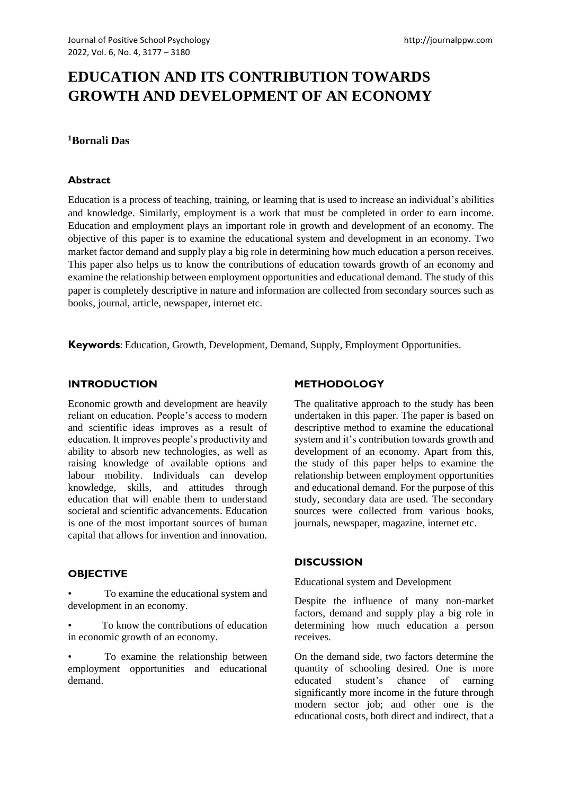# **EDUCATION AND ITS CONTRIBUTION TOWARDS GROWTH AND DEVELOPMENT OF AN ECONOMY**

### **<sup>1</sup>Bornali Das**

#### **Abstract**

Education is a process of teaching, training, or learning that is used to increase an individual's abilities and knowledge. Similarly, employment is a work that must be completed in order to earn income. Education and employment plays an important role in growth and development of an economy. The objective of this paper is to examine the educational system and development in an economy. Two market factor demand and supply play a big role in determining how much education a person receives. This paper also helps us to know the contributions of education towards growth of an economy and examine the relationship between employment opportunities and educational demand. The study of this paper is completely descriptive in nature and information are collected from secondary sources such as books, journal, article, newspaper, internet etc.

**Keywords**: Education, Growth, Development, Demand, Supply, Employment Opportunities.

#### **INTRODUCTION**

Economic growth and development are heavily reliant on education. People's access to modern and scientific ideas improves as a result of education. It improves people's productivity and ability to absorb new technologies, as well as raising knowledge of available options and labour mobility. Individuals can develop knowledge, skills, and attitudes through education that will enable them to understand societal and scientific advancements. Education is one of the most important sources of human capital that allows for invention and innovation.

#### **OBJECTIVE**

• To examine the educational system and development in an economy.

To know the contributions of education in economic growth of an economy.

To examine the relationship between employment opportunities and educational demand.

## **METHODOLOGY**

The qualitative approach to the study has been undertaken in this paper. The paper is based on descriptive method to examine the educational system and it's contribution towards growth and development of an economy. Apart from this, the study of this paper helps to examine the relationship between employment opportunities and educational demand. For the purpose of this study, secondary data are used. The secondary sources were collected from various books, journals, newspaper, magazine, internet etc.

#### **DISCUSSION**

Educational system and Development

Despite the influence of many non-market factors, demand and supply play a big role in determining how much education a person receives.

On the demand side, two factors determine the quantity of schooling desired. One is more educated student's chance of earning significantly more income in the future through modern sector job; and other one is the educational costs, both direct and indirect, that a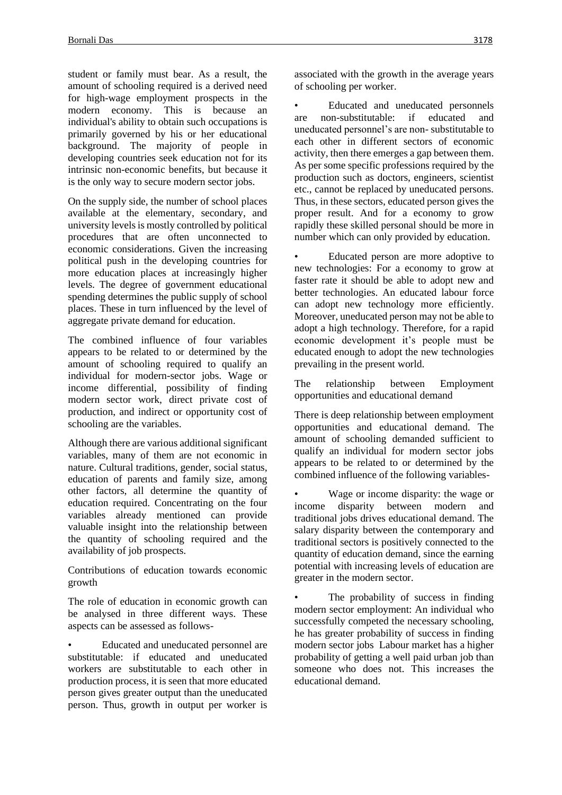student or family must bear. As a result, the amount of schooling required is a derived need for high-wage employment prospects in the modern economy. This is because an individual's ability to obtain such occupations is primarily governed by his or her educational background. The majority of people in developing countries seek education not for its intrinsic non-economic benefits, but because it is the only way to secure modern sector jobs.

On the supply side, the number of school places available at the elementary, secondary, and university levels is mostly controlled by political procedures that are often unconnected to economic considerations. Given the increasing political push in the developing countries for more education places at increasingly higher levels. The degree of government educational spending determines the public supply of school places. These in turn influenced by the level of aggregate private demand for education.

The combined influence of four variables appears to be related to or determined by the amount of schooling required to qualify an individual for modern-sector jobs. Wage or income differential, possibility of finding modern sector work, direct private cost of production, and indirect or opportunity cost of schooling are the variables.

Although there are various additional significant variables, many of them are not economic in nature. Cultural traditions, gender, social status, education of parents and family size, among other factors, all determine the quantity of education required. Concentrating on the four variables already mentioned can provide valuable insight into the relationship between the quantity of schooling required and the availability of job prospects.

Contributions of education towards economic growth

The role of education in economic growth can be analysed in three different ways. These aspects can be assessed as follows-

• Educated and uneducated personnel are substitutable: if educated and uneducated workers are substitutable to each other in production process, it is seen that more educated person gives greater output than the uneducated person. Thus, growth in output per worker is associated with the growth in the average years of schooling per worker.

• Educated and uneducated personnels are non-substitutable: if educated and uneducated personnel's are non- substitutable to each other in different sectors of economic activity, then there emerges a gap between them. As per some specific professions required by the production such as doctors, engineers, scientist etc., cannot be replaced by uneducated persons. Thus, in these sectors, educated person gives the proper result. And for a economy to grow rapidly these skilled personal should be more in number which can only provided by education.

• Educated person are more adoptive to new technologies: For a economy to grow at faster rate it should be able to adopt new and better technologies. An educated labour force can adopt new technology more efficiently. Moreover, uneducated person may not be able to adopt a high technology. Therefore, for a rapid economic development it's people must be educated enough to adopt the new technologies prevailing in the present world.

The relationship between Employment opportunities and educational demand

There is deep relationship between employment opportunities and educational demand. The amount of schooling demanded sufficient to qualify an individual for modern sector jobs appears to be related to or determined by the combined influence of the following variables-

• Wage or income disparity: the wage or income disparity between modern and traditional jobs drives educational demand. The salary disparity between the contemporary and traditional sectors is positively connected to the quantity of education demand, since the earning potential with increasing levels of education are greater in the modern sector.

The probability of success in finding modern sector employment: An individual who successfully competed the necessary schooling, he has greater probability of success in finding modern sector jobs Labour market has a higher probability of getting a well paid urban job than someone who does not. This increases the educational demand.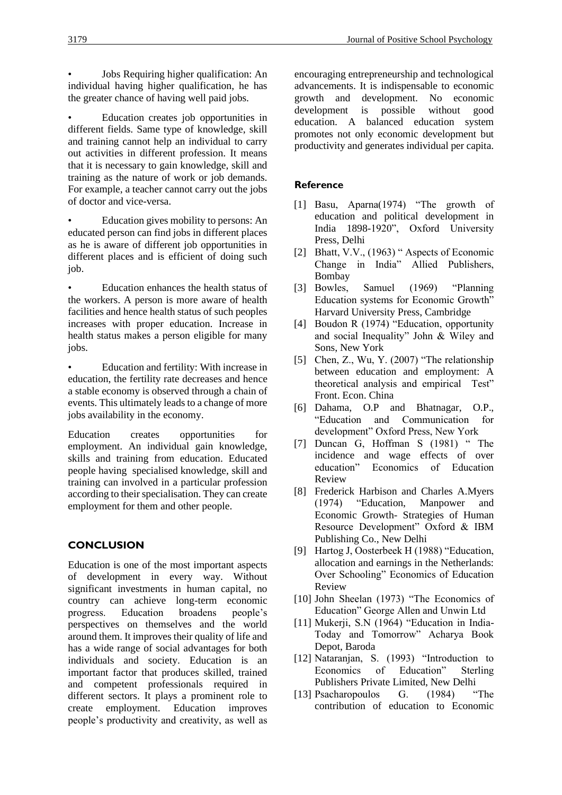• Jobs Requiring higher qualification: An individual having higher qualification, he has the greater chance of having well paid jobs.

• Education creates job opportunities in different fields. Same type of knowledge, skill and training cannot help an individual to carry out activities in different profession. It means that it is necessary to gain knowledge, skill and training as the nature of work or job demands. For example, a teacher cannot carry out the jobs of doctor and vice-versa.

• Education gives mobility to persons: An educated person can find jobs in different places as he is aware of different job opportunities in different places and is efficient of doing such job.

• Education enhances the health status of the workers. A person is more aware of health facilities and hence health status of such peoples increases with proper education. Increase in health status makes a person eligible for many jobs.

• Education and fertility: With increase in education, the fertility rate decreases and hence a stable economy is observed through a chain of events. This ultimately leads to a change of more jobs availability in the economy.

Education creates opportunities for employment. An individual gain knowledge, skills and training from education. Educated people having specialised knowledge, skill and training can involved in a particular profession according to their specialisation. They can create employment for them and other people.

# **CONCLUSION**

Education is one of the most important aspects of development in every way. Without significant investments in human capital, no country can achieve long-term economic<br>progress. Education broadens people's progress. Education broadens perspectives on themselves and the world around them. It improves their quality of life and has a wide range of social advantages for both individuals and society. Education is an important factor that produces skilled, trained and competent professionals required in different sectors. It plays a prominent role to create employment. Education improves people's productivity and creativity, as well as encouraging entrepreneurship and technological advancements. It is indispensable to economic growth and development. No economic development is possible without good education. A balanced education system promotes not only economic development but productivity and generates individual per capita.

#### **Reference**

- [1] Basu, Aparna(1974) "The growth of education and political development in India 1898-1920", Oxford University Press, Delhi
- [2] Bhatt, V.V., (1963) " Aspects of Economic Change in India" Allied Publishers, Bombay
- [3] Bowles, Samuel (1969) "Planning Education systems for Economic Growth" Harvard University Press, Cambridge
- [4] Boudon R (1974) "Education, opportunity and social Inequality" John & Wiley and Sons, New York
- [5] Chen, Z., Wu, Y. (2007) "The relationship between education and employment: A theoretical analysis and empirical Test" Front. Econ. China
- [6] Dahama, O.P and Bhatnagar, O.P., "Education and Communication for development" Oxford Press, New York
- [7] Duncan G, Hoffman S (1981) " The incidence and wage effects of over education" Economics of Education Review
- [8] Frederick Harbison and Charles A.Myers (1974) "Education, Manpower and Economic Growth- Strategies of Human Resource Development" Oxford & IBM Publishing Co., New Delhi
- [9] Hartog J, Oosterbeek H (1988) "Education, allocation and earnings in the Netherlands: Over Schooling" Economics of Education Review
- [10] John Sheelan (1973) "The Economics of Education" George Allen and Unwin Ltd
- [11] Mukerii, S.N (1964) "Education in India-Today and Tomorrow" Acharya Book Depot, Baroda
- [12] Nataranjan, S. (1993) "Introduction to Economics of Education" Sterling Publishers Private Limited, New Delhi
- [13] Psacharopoulos G. (1984) "The contribution of education to Economic